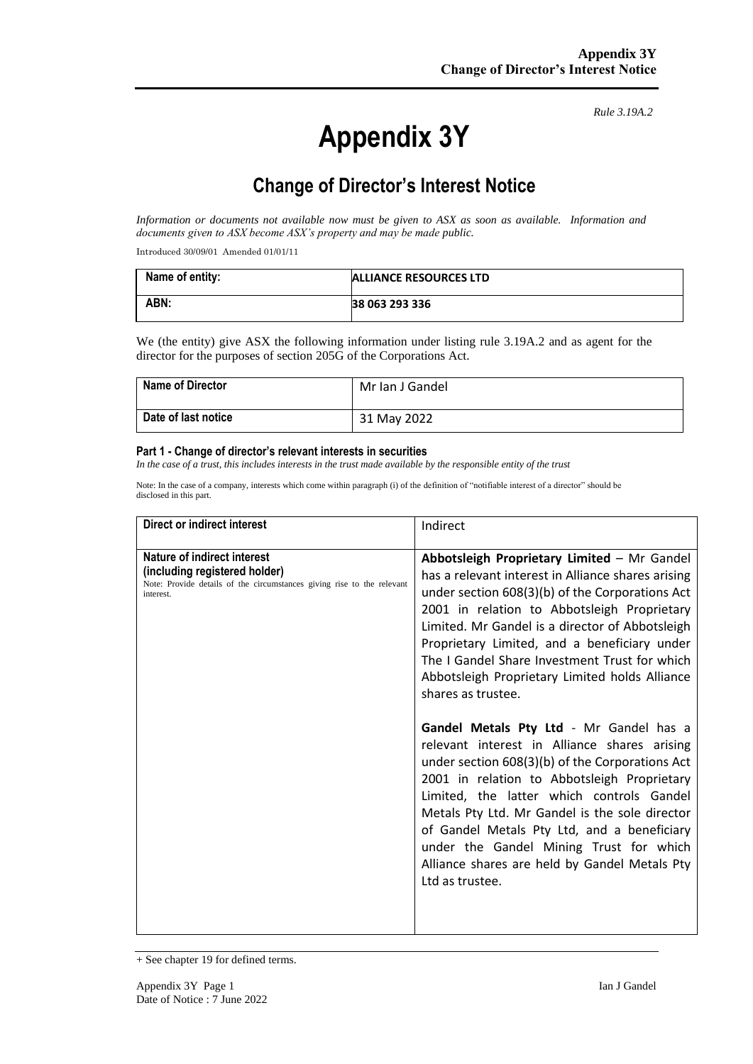# **Appendix 3Y**

*Rule 3.19A.2*

# **Change of Director's Interest Notice**

*Information or documents not available now must be given to ASX as soon as available. Information and documents given to ASX become ASX's property and may be made public.*

Introduced 30/09/01 Amended 01/01/11

| Name of entity: | ALLIANCE RESOURCES LTD |
|-----------------|------------------------|
| ABN:            | 38 063 293 336         |

We (the entity) give ASX the following information under listing rule 3.19A.2 and as agent for the director for the purposes of section 205G of the Corporations Act.

| <b>Name of Director</b> | Mr Ian J Gandel |
|-------------------------|-----------------|
| Date of last notice     | 31 May 2022     |

#### **Part 1 - Change of director's relevant interests in securities**

*In the case of a trust, this includes interests in the trust made available by the responsible entity of the trust*

Note: In the case of a company, interests which come within paragraph (i) of the definition of "notifiable interest of a director" should be disclosed in this part.

| Direct or indirect interest                                                                                                                         | Indirect                                                                                                                                                                                                                                                                                                                                                                                                                                                                                                                                                                                                                                                                                                                                                                                                                                                                                  |
|-----------------------------------------------------------------------------------------------------------------------------------------------------|-------------------------------------------------------------------------------------------------------------------------------------------------------------------------------------------------------------------------------------------------------------------------------------------------------------------------------------------------------------------------------------------------------------------------------------------------------------------------------------------------------------------------------------------------------------------------------------------------------------------------------------------------------------------------------------------------------------------------------------------------------------------------------------------------------------------------------------------------------------------------------------------|
| Nature of indirect interest<br>(including registered holder)<br>Note: Provide details of the circumstances giving rise to the relevant<br>interest. | Abbotsleigh Proprietary Limited - Mr Gandel<br>has a relevant interest in Alliance shares arising<br>under section 608(3)(b) of the Corporations Act<br>2001 in relation to Abbotsleigh Proprietary<br>Limited. Mr Gandel is a director of Abbotsleigh<br>Proprietary Limited, and a beneficiary under<br>The I Gandel Share Investment Trust for which<br>Abbotsleigh Proprietary Limited holds Alliance<br>shares as trustee.<br>Gandel Metals Pty Ltd - Mr Gandel has a<br>relevant interest in Alliance shares arising<br>under section 608(3)(b) of the Corporations Act<br>2001 in relation to Abbotsleigh Proprietary<br>Limited, the latter which controls Gandel<br>Metals Pty Ltd. Mr Gandel is the sole director<br>of Gandel Metals Pty Ltd, and a beneficiary<br>under the Gandel Mining Trust for which<br>Alliance shares are held by Gandel Metals Pty<br>Ltd as trustee. |

<sup>+</sup> See chapter 19 for defined terms.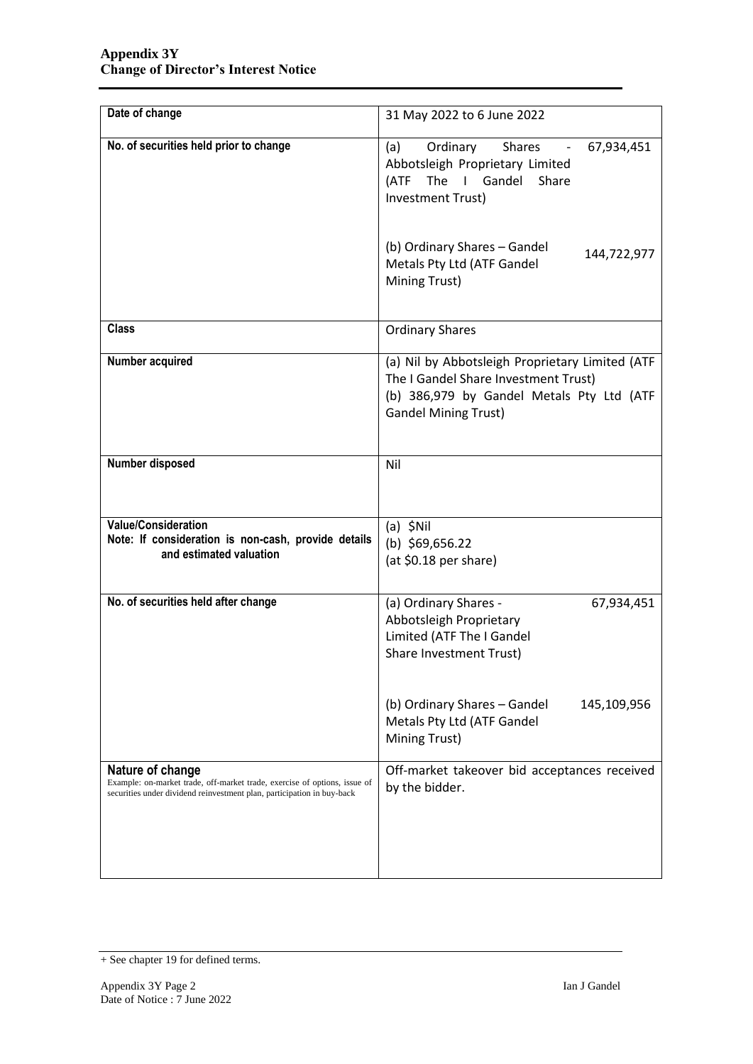| Date of change                                                                                                                                                          | 31 May 2022 to 6 June 2022                                                                                                                                          |  |
|-------------------------------------------------------------------------------------------------------------------------------------------------------------------------|---------------------------------------------------------------------------------------------------------------------------------------------------------------------|--|
| No. of securities held prior to change                                                                                                                                  | Ordinary<br><b>Shares</b><br>(a)<br>67,934,451<br>Abbotsleigh Proprietary Limited<br>The I Gandel Share<br>(ATF<br>Investment Trust)                                |  |
|                                                                                                                                                                         | (b) Ordinary Shares - Gandel<br>144,722,977<br>Metals Pty Ltd (ATF Gandel<br>Mining Trust)                                                                          |  |
| <b>Class</b>                                                                                                                                                            | <b>Ordinary Shares</b>                                                                                                                                              |  |
| Number acquired                                                                                                                                                         | (a) Nil by Abbotsleigh Proprietary Limited (ATF<br>The I Gandel Share Investment Trust)<br>(b) 386,979 by Gandel Metals Pty Ltd (ATF<br><b>Gandel Mining Trust)</b> |  |
| Number disposed                                                                                                                                                         | Nil                                                                                                                                                                 |  |
| <b>Value/Consideration</b><br>Note: If consideration is non-cash, provide details<br>and estimated valuation                                                            | $(a)$ \$Nil<br>(b) $$69,656.22$<br>(at \$0.18 per share)                                                                                                            |  |
| No. of securities held after change                                                                                                                                     | (a) Ordinary Shares -<br>67,934,451<br>Abbotsleigh Proprietary<br>Limited (ATF The I Gandel<br>Share Investment Trust)                                              |  |
|                                                                                                                                                                         | (b) Ordinary Shares - Gandel<br>145,109,956<br>Metals Pty Ltd (ATF Gandel<br>Mining Trust)                                                                          |  |
| Nature of change<br>Example: on-market trade, off-market trade, exercise of options, issue of<br>securities under dividend reinvestment plan, participation in buy-back | Off-market takeover bid acceptances received<br>by the bidder.                                                                                                      |  |

<sup>+</sup> See chapter 19 for defined terms.